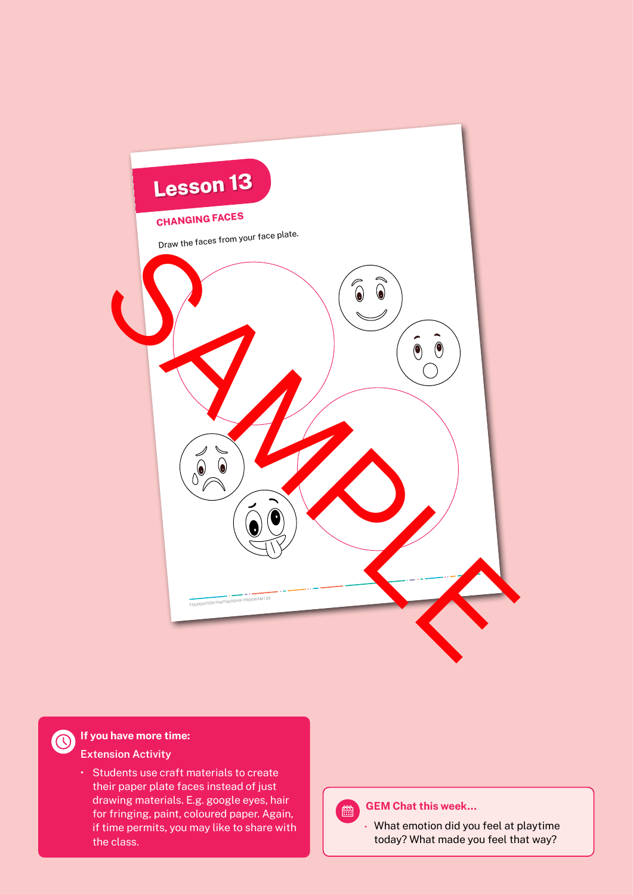

**If you have more time: Extension Activity**

> • Students use craft materials to create their paper plate faces instead of just drawing materials. E.g. google eyes, hair for fringing, paint, coloured paper. Again, if time permits, you may like to share with the class.

#### **GEM Chat this week…**  $\begin{bmatrix} \n \frac{\text{even}}{\text{even}} \n \end{bmatrix}$

**•** What emotion did you feel at playtime today? What made you feel that way?